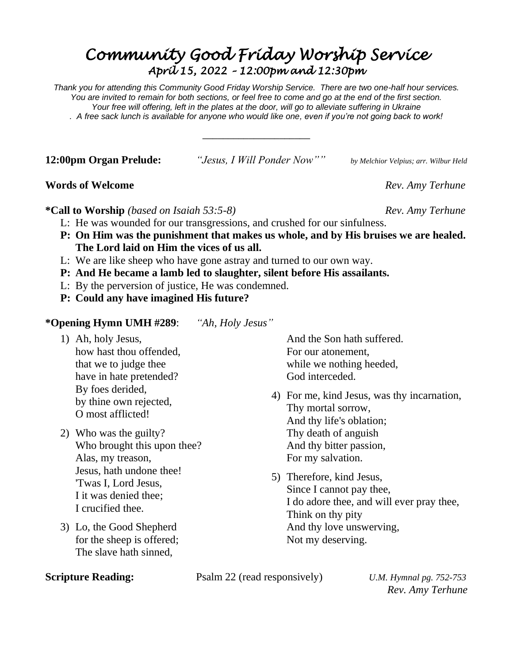# *Community Good Friday Worship Service April 15, 2022 – 12:00pm and 12:30pm*

*Thank you for attending this Community Good Friday Worship Service. There are two one-half hour services. You are invited to remain for both sections, or feel free to come and go at the end of the first section. Your free will offering, left in the plates at the door, will go to alleviate suffering in Ukraine . A free sack lunch is available for anyone who would like one, even if you're not going back to work!*

\_\_\_\_\_\_\_\_\_\_\_\_\_\_\_\_\_\_\_\_\_

**12:00pm Organ Prelude:** *"Jesus, I Will Ponder Now"" by Melchior Velpius; arr. Wilbur Held*

### **Words of Welcome** Rev. Amy Terhune

**\*Call to Worship** *(based on Isaiah 53:5-8) Rev. Amy Terhune*

- L: He was wounded for our transgressions, and crushed for our sinfulness.
- **P: On Him was the punishment that makes us whole, and by His bruises we are healed. The Lord laid on Him the vices of us all.**
- L: We are like sheep who have gone astray and turned to our own way.
- **P: And He became a lamb led to slaughter, silent before His assailants.**
- L: By the perversion of justice, He was condemned.
- **P: Could any have imagined His future?**

**\*Opening Hymn UMH #289**: *"Ah, Holy Jesus"*

- 1) Ah, holy Jesus, how hast thou offended, that we to judge thee have in hate pretended? By foes derided, by thine own rejected, O most afflicted!
- 2) Who was the guilty? Who brought this upon thee? Alas, my treason, Jesus, hath undone thee! 'Twas I, Lord Jesus, I it was denied thee; I crucified thee.
- 3) Lo, the Good Shepherd for the sheep is offered; The slave hath sinned,

And the Son hath suffered. For our atonement, while we nothing heeded, God interceded.

- 4) For me, kind Jesus, was thy incarnation, Thy mortal sorrow, And thy life's oblation; Thy death of anguish And thy bitter passion, For my salvation.
- 5) Therefore, kind Jesus, Since I cannot pay thee, I do adore thee, and will ever pray thee, Think on thy pity And thy love unswerving, Not my deserving.

**Scripture Reading:** Psalm 22 (read responsively) *U.M. Hymnal pg. 752-753* 

*Rev. Amy Terhune*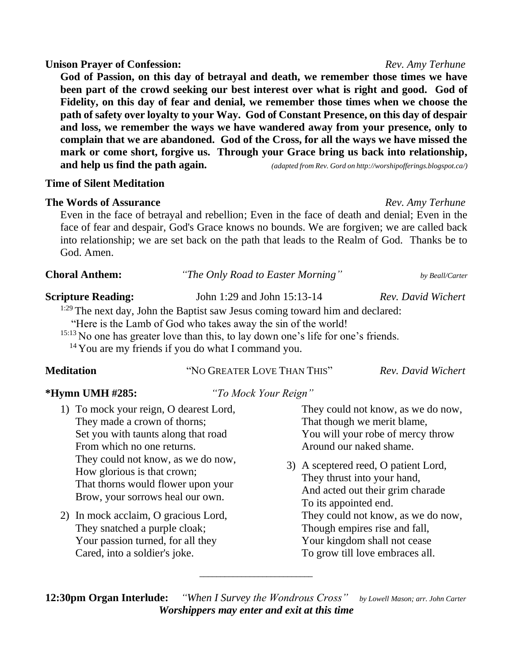# **Unison Prayer of Confession:** *Rev. Amy Terhune*

**God of Passion, on this day of betrayal and death, we remember those times we have been part of the crowd seeking our best interest over what is right and good. God of Fidelity, on this day of fear and denial, we remember those times when we choose the path of safety over loyalty to your Way. God of Constant Presence, on this day of despair and loss, we remember the ways we have wandered away from your presence, only to complain that we are abandoned. God of the Cross, for all the ways we have missed the mark or come short, forgive us. Through your Grace bring us back into relationship, and help us find the path again.** *(adapted from Rev. Gord on http://worshipofferings.blogspot.ca/)*

### **Time of Silent Meditation**

## **The Words of Assurance** *Rev. Amy Terhune*

Even in the face of betrayal and rebellion; Even in the face of death and denial; Even in the face of fear and despair, God's Grace knows no bounds. We are forgiven; we are called back into relationship; we are set back on the path that leads to the Realm of God. Thanks be to God. Amen.

| <b>Choral Anthem:</b>     | "The Only Road to Easter Morning" | by Beall/Carter    |
|---------------------------|-----------------------------------|--------------------|
| <b>Scripture Reading:</b> | John 1:29 and John 15:13-14       | Rev. David Wichert |

<sup>1:29</sup> The next day, John the Baptist saw Jesus coming toward him and declared:

"Here is the Lamb of God who takes away the sin of the world!

<sup>15:13</sup> No one has greater love than this, to lay down one's life for one's friends.

<sup>14</sup> You are my friends if you do what I command you.

# **Meditation** "NO GREATER LOVE THAN THIS" *Rev. David Wichert*

**\*Hymn UMH #285:** *"To Mock Your Reign"*

They could not know, as we do now, That though we merit blame, You will your robe of mercy throw Around our naked shame.

3) A sceptered reed, O patient Lord, They thrust into your hand, And acted out their grim charade To its appointed end. They could not know, as we do now, Though empires rise and fall, Your kingdom shall not cease To grow till love embraces all.

**12:30pm Organ Interlude:** *"When I Survey the Wondrous Cross" by Lowell Mason; arr. John Carter Worshippers may enter and exit at this time*

\_\_\_\_\_\_\_\_\_\_\_\_\_\_\_\_\_\_\_\_\_\_\_\_\_\_\_

### 1) To mock your reign, O dearest Lord, They made a crown of thorns; Set you with taunts along that road From which no one returns. They could not know, as we do now, How glorious is that crown; That thorns would flower upon your Brow, your sorrows heal our own.

2) In mock acclaim, O gracious Lord, They snatched a purple cloak; Your passion turned, for all they Cared, into a soldier's joke.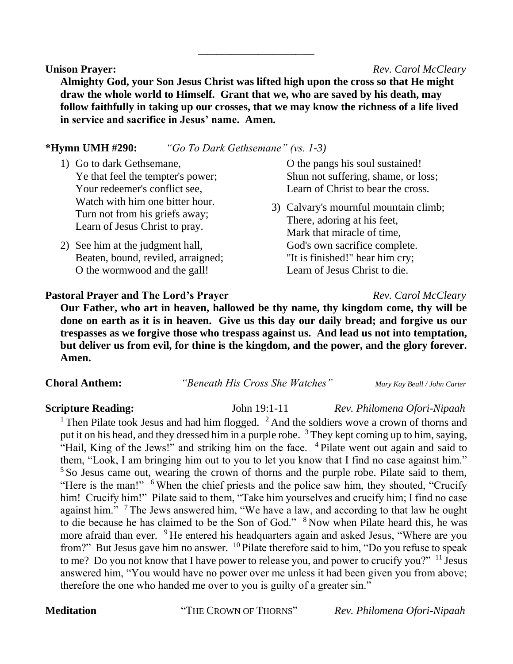**Unison Prayer:** *Rev. Carol McCleary*

**Almighty God, your Son Jesus Christ was lifted high upon the cross so that He might draw the whole world to Himself. Grant that we, who are saved by his death, may follow faithfully in taking up our crosses, that we may know the richness of a life lived in service and sacrifice in Jesus' name. Amen.**

\_\_\_\_\_\_\_\_\_\_\_\_\_\_\_\_\_\_\_\_\_\_\_\_\_

#### **\*Hymn UMH #290:** *"Go To Dark Gethsemane" (vs. 1-3)*

- 1) Go to dark Gethsemane, Ye that feel the tempter's power; Your redeemer's conflict see, Watch with him one bitter hour. Turn not from his griefs away; Learn of Jesus Christ to pray.
- 2) See him at the judgment hall, Beaten, bound, reviled, arraigned; O the wormwood and the gall!

O the pangs his soul sustained! Shun not suffering, shame, or loss; Learn of Christ to bear the cross.

3) Calvary's mournful mountain climb; There, adoring at his feet, Mark that miracle of time, God's own sacrifice complete. "It is finished!" hear him cry; Learn of Jesus Christ to die.

#### **Pastoral Prayer and The Lord's Prayer** *Rev. Carol McCleary*

**Our Father, who art in heaven, hallowed be thy name, thy kingdom come, thy will be done on earth as it is in heaven. Give us this day our daily bread; and forgive us our trespasses as we forgive those who trespass against us. And lead us not into temptation, but deliver us from evil, for thine is the kingdom, and the power, and the glory forever. Amen.**

**Choral Anthem:** *"Beneath His Cross She Watches" Mary Kay Beall / John Carter*

#### **Scripture Reading:** John 19:1-11 *Rev. Philomena Ofori-Nipaah*

<sup>1</sup> Then Pilate took Jesus and had him flogged.  $2$  And the soldiers wove a crown of thorns and put it on his head, and they dressed him in a purple robe. <sup>3</sup> They kept coming up to him, saying, "Hail, King of the Jews!" and striking him on the face. <sup>4</sup> Pilate went out again and said to them, "Look, I am bringing him out to you to let you know that I find no case against him." <sup>5</sup> So Jesus came out, wearing the crown of thorns and the purple robe. Pilate said to them, "Here is the man!" <sup>6</sup> When the chief priests and the police saw him, they shouted, "Crucify him! Crucify him!" Pilate said to them, "Take him yourselves and crucify him; I find no case against him."<sup>7</sup> The Jews answered him, "We have a law, and according to that law he ought to die because he has claimed to be the Son of God." <sup>8</sup> Now when Pilate heard this, he was more afraid than ever. <sup>9</sup> He entered his headquarters again and asked Jesus, "Where are you from?" But Jesus gave him no answer. <sup>10</sup> Pilate therefore said to him, "Do you refuse to speak to me? Do you not know that I have power to release you, and power to crucify you?" <sup>11</sup> Jesus answered him, "You would have no power over me unless it had been given you from above; therefore the one who handed me over to you is guilty of a greater sin."

**Meditation** "THE CROWN OF THORNS" *Rev. Philomena Ofori-Nipaah*